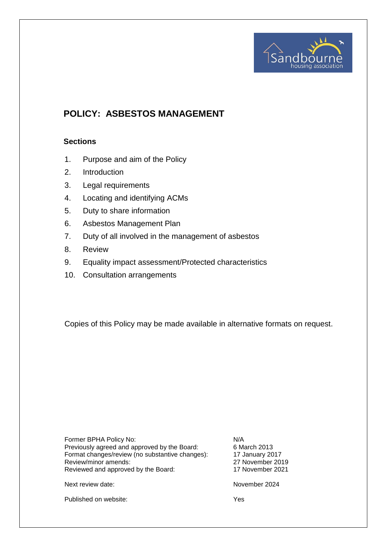

# **POLICY: ASBESTOS MANAGEMENT**

# **Sections**

- 1. Purpose and aim of the Policy
- 2. Introduction
- 3. Legal requirements
- 4. Locating and identifying ACMs
- 5. Duty to share information
- 6. Asbestos Management Plan
- 7. Duty of all involved in the management of asbestos
- 8. Review
- 9. Equality impact assessment/Protected characteristics
- 10. Consultation arrangements

Copies of this Policy may be made available in alternative formats on request.

| Former BPHA Policy No:                          | N/A              |
|-------------------------------------------------|------------------|
| Previously agreed and approved by the Board:    | 6 March 2013     |
| Format changes/review (no substantive changes): | 17 January 2017  |
| Review/minor amends:                            | 27 November 2019 |
| Reviewed and approved by the Board:             | 17 November 2021 |
|                                                 |                  |
| Next review date:                               | November 2024    |

Published on website: Yes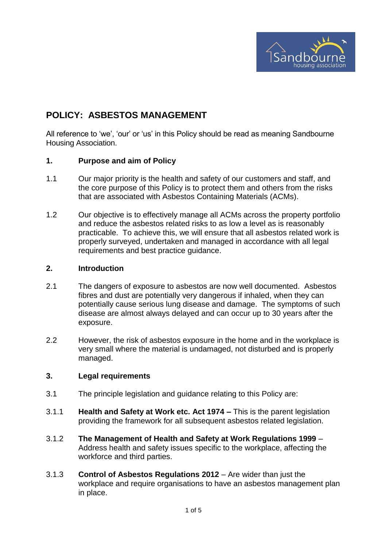

# **POLICY: ASBESTOS MANAGEMENT**

All reference to 'we', 'our' or 'us' in this Policy should be read as meaning Sandbourne Housing Association.

# **1. Purpose and aim of Policy**

- 1.1 Our major priority is the health and safety of our customers and staff, and the core purpose of this Policy is to protect them and others from the risks that are associated with Asbestos Containing Materials (ACMs).
- 1.2 Our objective is to effectively manage all ACMs across the property portfolio and reduce the asbestos related risks to as low a level as is reasonably practicable. To achieve this, we will ensure that all asbestos related work is properly surveyed, undertaken and managed in accordance with all legal requirements and best practice guidance.

#### **2. Introduction**

- 2.1 The dangers of exposure to asbestos are now well documented. Asbestos fibres and dust are potentially very dangerous if inhaled, when they can potentially cause serious lung disease and damage. The symptoms of such disease are almost always delayed and can occur up to 30 years after the exposure.
- 2.2 However, the risk of asbestos exposure in the home and in the workplace is very small where the material is undamaged, not disturbed and is properly managed.

# **3. Legal requirements**

- 3.1 The principle legislation and guidance relating to this Policy are:
- 3.1.1 **Health and Safety at Work etc. Act 1974 –** This is the parent legislation providing the framework for all subsequent asbestos related legislation.
- 3.1.2 **The Management of Health and Safety at Work Regulations 1999** Address health and safety issues specific to the workplace, affecting the workforce and third parties.
- 3.1.3 **Control of Asbestos Regulations 2012**  Are wider than just the workplace and require organisations to have an asbestos management plan in place.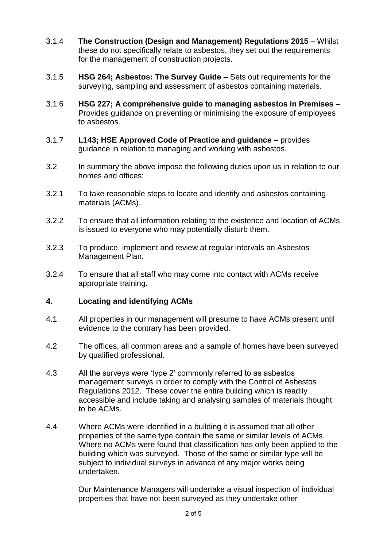- 3.1.4 **The Construction (Design and Management) Regulations 2015**  Whilst these do not specifically relate to asbestos, they set out the requirements for the management of construction projects.
- 3.1.5 **HSG 264; Asbestos: The Survey Guide**  Sets out requirements for the surveying, sampling and assessment of asbestos containing materials.
- 3.1.6 **HSG 227; A comprehensive guide to managing asbestos in Premises**  Provides guidance on preventing or minimising the exposure of employees to asbestos.
- 3.1.7 **L143; HSE Approved Code of Practice and guidance**  provides guidance in relation to managing and working with asbestos.
- 3.2 In summary the above impose the following duties upon us in relation to our homes and offices:
- 3.2.1 To take reasonable steps to locate and identify and asbestos containing materials (ACMs).
- 3.2.2 To ensure that all information relating to the existence and location of ACMs is issued to everyone who may potentially disturb them.
- 3.2.3 To produce, implement and review at regular intervals an Asbestos Management Plan.
- 3.2.4 To ensure that all staff who may come into contact with ACMs receive appropriate training.

# **4. Locating and identifying ACMs**

- 4.1 All properties in our management will presume to have ACMs present until evidence to the contrary has been provided.
- 4.2 The offices, all common areas and a sample of homes have been surveyed by qualified professional.
- 4.3 All the surveys were 'type 2' commonly referred to as asbestos management surveys in order to comply with the Control of Asbestos Regulations 2012. These cover the entire building which is readily accessible and include taking and analysing samples of materials thought to be ACMs.
- 4.4 Where ACMs were identified in a building it is assumed that all other properties of the same type contain the same or similar levels of ACMs. Where no ACMs were found that classification has only been applied to the building which was surveyed. Those of the same or similar type will be subject to individual surveys in advance of any major works being undertaken.

Our Maintenance Managers will undertake a visual inspection of individual properties that have not been surveyed as they undertake other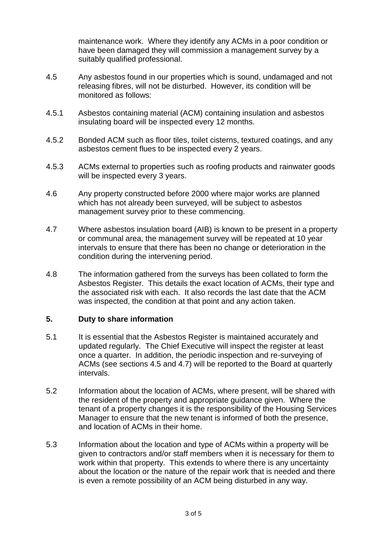maintenance work. Where they identify any ACMs in a poor condition or have been damaged they will commission a management survey by a suitably qualified professional.

- 4.5 Any asbestos found in our properties which is sound, undamaged and not releasing fibres, will not be disturbed. However, its condition will be monitored as follows:
- 4.5.1 Asbestos containing material (ACM) containing insulation and asbestos insulating board will be inspected every 12 months.
- 4.5.2 Bonded ACM such as floor tiles, toilet cisterns, textured coatings, and any asbestos cement flues to be inspected every 2 years.
- 4.5.3 ACMs external to properties such as roofing products and rainwater goods will be inspected every 3 years.
- 4.6 Any property constructed before 2000 where major works are planned which has not already been surveyed, will be subject to asbestos management survey prior to these commencing.
- 4.7 Where asbestos insulation board (AIB) is known to be present in a property or communal area, the management survey will be repeated at 10 year intervals to ensure that there has been no change or deterioration in the condition during the intervening period.
- 4.8 The information gathered from the surveys has been collated to form the Asbestos Register. This details the exact location of ACMs, their type and the associated risk with each. It also records the last date that the ACM was inspected, the condition at that point and any action taken.

# **5. Duty to share information**

- 5.1 It is essential that the Asbestos Register is maintained accurately and updated regularly. The Chief Executive will inspect the register at least once a quarter. In addition, the periodic inspection and re-surveying of ACMs (see sections 4.5 and 4.7) will be reported to the Board at quarterly intervals.
- 5.2 Information about the location of ACMs, where present, will be shared with the resident of the property and appropriate guidance given. Where the tenant of a property changes it is the responsibility of the Housing Services Manager to ensure that the new tenant is informed of both the presence, and location of ACMs in their home.
- 5.3 Information about the location and type of ACMs within a property will be given to contractors and/or staff members when it is necessary for them to work within that property. This extends to where there is any uncertainty about the location or the nature of the repair work that is needed and there is even a remote possibility of an ACM being disturbed in any way.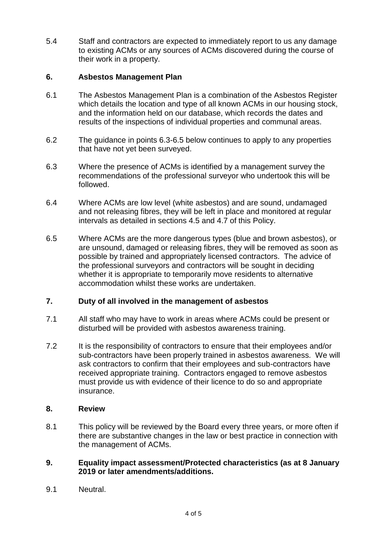5.4 Staff and contractors are expected to immediately report to us any damage to existing ACMs or any sources of ACMs discovered during the course of their work in a property.

# **6. Asbestos Management Plan**

- 6.1 The Asbestos Management Plan is a combination of the Asbestos Register which details the location and type of all known ACMs in our housing stock, and the information held on our database, which records the dates and results of the inspections of individual properties and communal areas.
- 6.2 The guidance in points 6.3-6.5 below continues to apply to any properties that have not yet been surveyed.
- 6.3 Where the presence of ACMs is identified by a management survey the recommendations of the professional surveyor who undertook this will be followed.
- 6.4 Where ACMs are low level (white asbestos) and are sound, undamaged and not releasing fibres, they will be left in place and monitored at regular intervals as detailed in sections 4.5 and 4.7 of this Policy.
- 6.5 Where ACMs are the more dangerous types (blue and brown asbestos), or are unsound, damaged or releasing fibres, they will be removed as soon as possible by trained and appropriately licensed contractors. The advice of the professional surveyors and contractors will be sought in deciding whether it is appropriate to temporarily move residents to alternative accommodation whilst these works are undertaken.

# **7. Duty of all involved in the management of asbestos**

- 7.1 All staff who may have to work in areas where ACMs could be present or disturbed will be provided with asbestos awareness training.
- 7.2 It is the responsibility of contractors to ensure that their employees and/or sub-contractors have been properly trained in asbestos awareness. We will ask contractors to confirm that their employees and sub-contractors have received appropriate training. Contractors engaged to remove asbestos must provide us with evidence of their licence to do so and appropriate insurance.

# **8. Review**

8.1 This policy will be reviewed by the Board every three years, or more often if there are substantive changes in the law or best practice in connection with the management of ACMs.

# **9. Equality impact assessment/Protected characteristics (as at 8 January 2019 or later amendments/additions.**

9.1 Neutral.